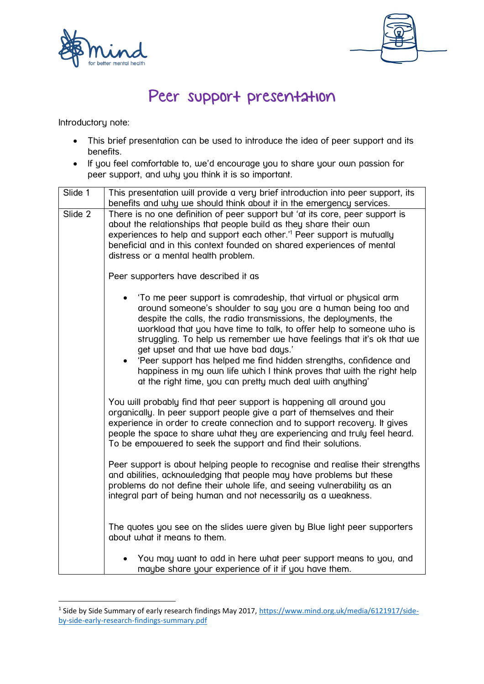



## Peer support presentation

Introductory note:

**.** 

- This brief presentation can be used to introduce the idea of peer support and its benefits.
- If you feel comfortable to, we'd encourage you to share your own passion for peer support, and why you think it is so important.

| Slide 1 | This presentation will provide a very brief introduction into peer support, its<br>benefits and why we should think about it in the emergency services.                                                                                                                                                                                                                                                                                                                                                                                                                                                       |
|---------|---------------------------------------------------------------------------------------------------------------------------------------------------------------------------------------------------------------------------------------------------------------------------------------------------------------------------------------------------------------------------------------------------------------------------------------------------------------------------------------------------------------------------------------------------------------------------------------------------------------|
| Slide 2 | There is no one definition of peer support but 'at its core, peer support is<br>about the relationships that people build as they share their own<br>experiences to help and support each other. <sup>11</sup> Peer support is mutually<br>beneficial and in this context founded on shared experiences of mental<br>distress or a mental health problem.                                                                                                                                                                                                                                                     |
|         | Peer supporters have described it as                                                                                                                                                                                                                                                                                                                                                                                                                                                                                                                                                                          |
|         | 'To me peer support is comradeship, that virtual or physical arm<br>around someone's shoulder to say you are a human being too and<br>despite the calls, the radio transmissions, the deployments, the<br>workload that you have time to talk, to offer help to someone who is<br>struggling. To help us remember we have feelings that it's ok that we<br>get upset and that we have bad days.'<br>'Peer support has helped me find hidden strengths, confidence and<br>happiness in my own life which I think proves that with the right help<br>at the right time, you can pretty much deal with anything' |
|         | You will probably find that peer support is happening all around you<br>organically. In peer support people give a part of themselves and their<br>experience in order to create connection and to support recovery. It gives<br>people the space to share what they are experiencing and truly feel heard.<br>To be empowered to seek the support and find their solutions.                                                                                                                                                                                                                                  |
|         | Peer support is about helping people to recognise and realise their strengths<br>and abilities, acknowledging that people may have problems but these<br>problems do not define their whole life, and seeing vulnerability as an<br>integral part of being human and not necessarily as a weakness.                                                                                                                                                                                                                                                                                                           |
|         | The quotes you see on the slides were given by Blue light peer supporters<br>about what it means to them.                                                                                                                                                                                                                                                                                                                                                                                                                                                                                                     |
|         | You may want to add in here what peer support means to you, and<br>maybe share your experience of it if you have them.                                                                                                                                                                                                                                                                                                                                                                                                                                                                                        |

<sup>&</sup>lt;sup>1</sup> Side by Side Summary of early research findings May 2017, [https://www.mind.org.uk/media/6121917/side](https://www.mind.org.uk/media/6121917/side-by-side-early-research-findings-summary.pdf)[by-side-early-research-findings-summary.pdf](https://www.mind.org.uk/media/6121917/side-by-side-early-research-findings-summary.pdf)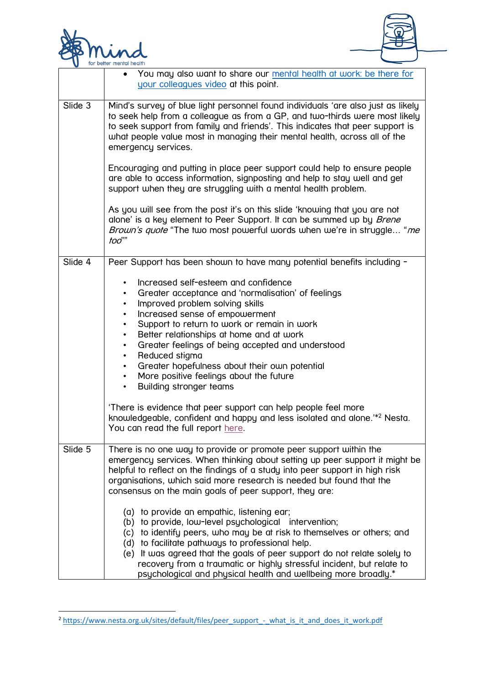

**.** 



|         | You may also want to share our mental health at work: be there for<br>$\bullet$<br>your colleagues video at this point.                                                                                                                                                                                                                                                                                                                                                                                                                                                                                                                                                                                                                              |
|---------|------------------------------------------------------------------------------------------------------------------------------------------------------------------------------------------------------------------------------------------------------------------------------------------------------------------------------------------------------------------------------------------------------------------------------------------------------------------------------------------------------------------------------------------------------------------------------------------------------------------------------------------------------------------------------------------------------------------------------------------------------|
| Slide 3 | Mind's survey of blue light personnel found individuals 'are also just as likely<br>to seek help from a colleague as from a GP, and two-thirds were most likely<br>to seek support from family and friends'. This indicates that peer support is<br>what people value most in managing their mental health, across all of the<br>emergency services.                                                                                                                                                                                                                                                                                                                                                                                                 |
|         | Encouraging and putting in place peer support could help to ensure people<br>are able to access information, signposting and help to stay well and get<br>support when they are struggling with a mental health problem.                                                                                                                                                                                                                                                                                                                                                                                                                                                                                                                             |
|         | As you will see from the post it's on this slide 'knowing that you are not<br>alone' is a key element to Peer Support. It can be summed up by <i>Brene</i><br>Brown's quote "The two most powerful words when we're in struggle "me<br>too""                                                                                                                                                                                                                                                                                                                                                                                                                                                                                                         |
| Slide 4 | Peer Support has been shown to have many potential benefits including -                                                                                                                                                                                                                                                                                                                                                                                                                                                                                                                                                                                                                                                                              |
|         | Increased self-esteem and confidence<br>$\bullet$<br>Greater acceptance and 'normalisation' of feelings<br>$\bullet$<br>Improved problem solving skills<br>$\bullet$<br>Increased sense of empowerment<br>$\bullet$<br>Support to return to work or remain in work<br>$\bullet$<br>Better relationships at home and at work<br>$\bullet$<br>Greater feelings of being accepted and understood<br>Reduced stigma<br>$\bullet$<br>Greater hopefulness about their own potential<br>$\bullet$<br>More positive feelings about the future<br>$\bullet$<br>Building stronger teams<br>$\bullet$<br>There is evidence that peer support can help people feel more<br>knowledgeable, confident and happy and less isolated and alone. <sup>1*2</sup> Nesta. |
|         | You can read the full report here.                                                                                                                                                                                                                                                                                                                                                                                                                                                                                                                                                                                                                                                                                                                   |
| Slide 5 | There is no one way to provide or promote peer support within the<br>emergency services. When thinking about setting up peer support it might be<br>helpful to reflect on the findings of a study into peer support in high risk<br>organisations, which said more research is needed but found that the<br>consensus on the main goals of peer support, they are:                                                                                                                                                                                                                                                                                                                                                                                   |
|         | (a) to provide an empathic, listening ear;<br>(b) to provide, low-level psychological intervention;<br>(c) to identify peers, who may be at risk to themselves or others; and<br>(d) to facilitate pathways to professional help.<br>(e) It was agreed that the goals of peer support do not relate solely to<br>recovery from a traumatic or highly stressful incident, but relate to<br>psychological and physical health and wellbeing more broadly.*                                                                                                                                                                                                                                                                                             |

<sup>&</sup>lt;sup>2</sup> [https://www.nesta.org.uk/sites/default/files/peer\\_support\\_-\\_what\\_is\\_it\\_and\\_does\\_it\\_work.pdf](https://www.nesta.org.uk/sites/default/files/peer_support_-_what_is_it_and_does_it_work.pdf)